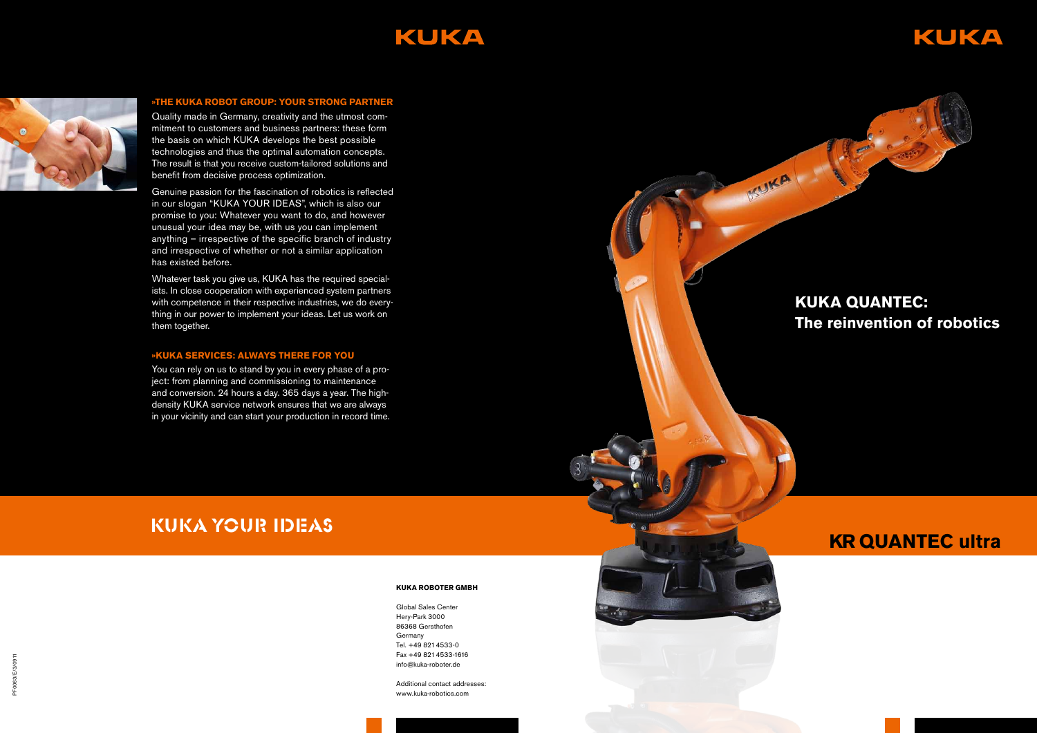# KUKA



## **»The KUKA Robo t G r o up: Your stron g partne r**

Quality made in Germany, creativity and the utmost com mitment to customers and business partners: these form the basis on which KUKA develops the best possible technologies and thus the optimal automation concepts. The result is that you receive custom-tailored solutions and benefit from decisive process optimization.

Genuine passion for the fascination of robotics is reflected in our slogan "KUKA YOUR IDEAS", which is also our promise to you: Whatever you want to do, and however unusual your idea may be, with us you can implement anything – irrespective of the specific branch of industry and irrespective of whether or not a similar application has existed before.

Whatever task you give us, KUKA has the required special ists. In close cooperation with experienced system partners with competence in their respective industries, we do every thing in our power to implement your ideas. Let us work on them together.

### »KUKA SERVICES: ALWAYS THERE FOR YOU

You can rely on us to stand by you in every phase of a pro ject: from planning and commissioning to maintenance and conversion. 24 hours a day. 365 days a year. The highdensity KUKA service network ensures that we are always in your vicinity and can start your production in record time.

> Global Sales Center Hery-Park 3000 86368 Gersthofen Germany Tel. +49 821 4533-0 Fax +49 821 4533-1616 info@kuka-roboter.de

Additional contact addresses: www.kuka-robotics.com

# KUKA YOUR IDEAS

#### **KUKA ROBOTER GMB**





# **KUKA QUA N TEC : The reinvention of robotics**

# **KR QUA N TEC ultra**